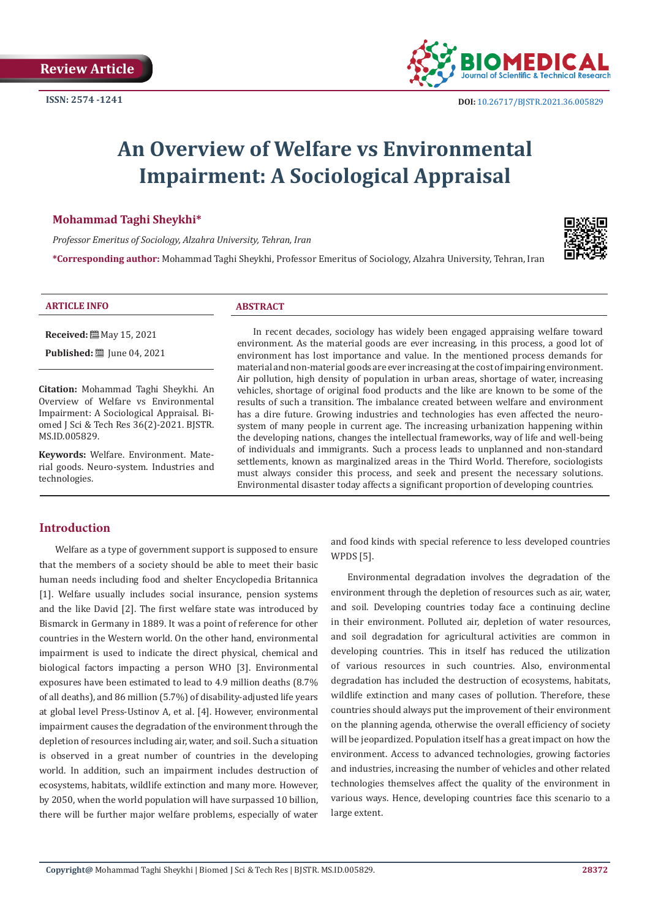

# **An Overview of Welfare vs Environmental Impairment: A Sociological Appraisal**

# **Mohammad Taghi Sheykhi\***

*Professor Emeritus of Sociology, Alzahra University, Tehran, Iran* 

**\*Corresponding author:** Mohammad Taghi Sheykhi, Professor Emeritus of Sociology, Alzahra University, Tehran, Iran



#### **ARTICLE INFO ABSTRACT**

**Received:** May 15, 2021

**Published:** ■ June 04, 2021

**Citation:** Mohammad Taghi Sheykhi. An Overview of Welfare vs Environmental Impairment: A Sociological Appraisal. Biomed J Sci & Tech Res 36(2)-2021. BJSTR. MS.ID.005829.

**Keywords:** Welfare. Environment. Material goods. Neuro-system. Industries and technologies.

In recent decades, sociology has widely been engaged appraising welfare toward environment. As the material goods are ever increasing, in this process, a good lot of environment has lost importance and value. In the mentioned process demands for material and non-material goods are ever increasing at the cost of impairing environment. Air pollution, high density of population in urban areas, shortage of water, increasing vehicles, shortage of original food products and the like are known to be some of the results of such a transition. The imbalance created between welfare and environment has a dire future. Growing industries and technologies has even affected the neurosystem of many people in current age. The increasing urbanization happening within the developing nations, changes the intellectual frameworks, way of life and well-being of individuals and immigrants. Such a process leads to unplanned and non-standard settlements, known as marginalized areas in the Third World. Therefore, sociologists must always consider this process, and seek and present the necessary solutions. Environmental disaster today affects a significant proportion of developing countries.

# **Introduction**

Welfare as a type of government support is supposed to ensure that the members of a society should be able to meet their basic human needs including food and shelter Encyclopedia Britannica [1]. Welfare usually includes social insurance, pension systems and the like David [2]. The first welfare state was introduced by Bismarck in Germany in 1889. It was a point of reference for other countries in the Western world. On the other hand, environmental impairment is used to indicate the direct physical, chemical and biological factors impacting a person WHO [3]. Environmental exposures have been estimated to lead to 4.9 million deaths (8.7% of all deaths), and 86 million (5.7%) of disability-adjusted life years at global level Press-Ustinov A, et al. [4]. However, environmental impairment causes the degradation of the environment through the depletion of resources including air, water, and soil. Such a situation is observed in a great number of countries in the developing world. In addition, such an impairment includes destruction of ecosystems, habitats, wildlife extinction and many more. However, by 2050, when the world population will have surpassed 10 billion, there will be further major welfare problems, especially of water

and food kinds with special reference to less developed countries WPDS [5].

Environmental degradation involves the degradation of the environment through the depletion of resources such as air, water, and soil. Developing countries today face a continuing decline in their environment. Polluted air, depletion of water resources, and soil degradation for agricultural activities are common in developing countries. This in itself has reduced the utilization of various resources in such countries. Also, environmental degradation has included the destruction of ecosystems, habitats, wildlife extinction and many cases of pollution. Therefore, these countries should always put the improvement of their environment on the planning agenda, otherwise the overall efficiency of society will be jeopardized. Population itself has a great impact on how the environment. Access to advanced technologies, growing factories and industries, increasing the number of vehicles and other related technologies themselves affect the quality of the environment in various ways. Hence, developing countries face this scenario to a large extent.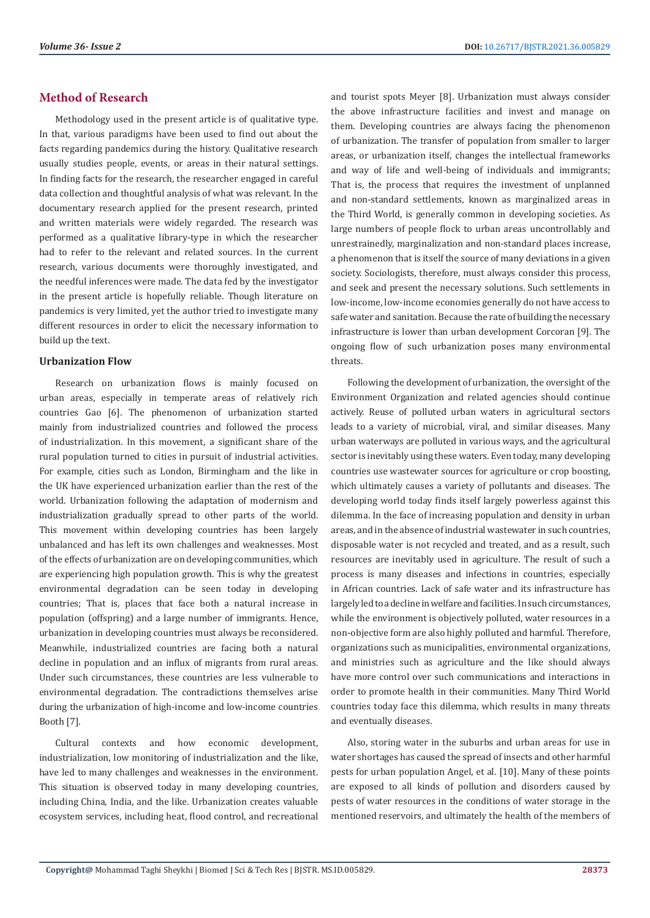# **Method of Research**

Methodology used in the present article is of qualitative type. In that, various paradigms have been used to find out about the facts regarding pandemics during the history. Qualitative research usually studies people, events, or areas in their natural settings. In finding facts for the research, the researcher engaged in careful data collection and thoughtful analysis of what was relevant. In the documentary research applied for the present research, printed and written materials were widely regarded. The research was performed as a qualitative library-type in which the researcher had to refer to the relevant and related sources. In the current research, various documents were thoroughly investigated, and the needful inferences were made. The data fed by the investigator in the present article is hopefully reliable. Though literature on pandemics is very limited, yet the author tried to investigate many different resources in order to elicit the necessary information to build up the text.

#### **Urbanization Flow**

Research on urbanization flows is mainly focused on urban areas, especially in temperate areas of relatively rich countries Gao [6]. The phenomenon of urbanization started mainly from industrialized countries and followed the process of industrialization. In this movement, a significant share of the rural population turned to cities in pursuit of industrial activities. For example, cities such as London, Birmingham and the like in the UK have experienced urbanization earlier than the rest of the world. Urbanization following the adaptation of modernism and industrialization gradually spread to other parts of the world. This movement within developing countries has been largely unbalanced and has left its own challenges and weaknesses. Most of the effects of urbanization are on developing communities, which are experiencing high population growth. This is why the greatest environmental degradation can be seen today in developing countries; That is, places that face both a natural increase in population (offspring) and a large number of immigrants. Hence, urbanization in developing countries must always be reconsidered. Meanwhile, industrialized countries are facing both a natural decline in population and an influx of migrants from rural areas. Under such circumstances, these countries are less vulnerable to environmental degradation. The contradictions themselves arise during the urbanization of high-income and low-income countries Booth [7].

Cultural contexts and how economic development, industrialization, low monitoring of industrialization and the like, have led to many challenges and weaknesses in the environment. This situation is observed today in many developing countries, including China, India, and the like. Urbanization creates valuable ecosystem services, including heat, flood control, and recreational

and tourist spots Meyer [8]. Urbanization must always consider the above infrastructure facilities and invest and manage on them. Developing countries are always facing the phenomenon of urbanization. The transfer of population from smaller to larger areas, or urbanization itself, changes the intellectual frameworks and way of life and well-being of individuals and immigrants; That is, the process that requires the investment of unplanned and non-standard settlements, known as marginalized areas in the Third World, is generally common in developing societies. As large numbers of people flock to urban areas uncontrollably and unrestrainedly, marginalization and non-standard places increase, a phenomenon that is itself the source of many deviations in a given society. Sociologists, therefore, must always consider this process, and seek and present the necessary solutions. Such settlements in low-income, low-income economies generally do not have access to safe water and sanitation. Because the rate of building the necessary infrastructure is lower than urban development Corcoran [9]. The ongoing flow of such urbanization poses many environmental threats.

Following the development of urbanization, the oversight of the Environment Organization and related agencies should continue actively. Reuse of polluted urban waters in agricultural sectors leads to a variety of microbial, viral, and similar diseases. Many urban waterways are polluted in various ways, and the agricultural sector is inevitably using these waters. Even today, many developing countries use wastewater sources for agriculture or crop boosting, which ultimately causes a variety of pollutants and diseases. The developing world today finds itself largely powerless against this dilemma. In the face of increasing population and density in urban areas, and in the absence of industrial wastewater in such countries, disposable water is not recycled and treated, and as a result, such resources are inevitably used in agriculture. The result of such a process is many diseases and infections in countries, especially in African countries. Lack of safe water and its infrastructure has largely led to a decline in welfare and facilities. In such circumstances, while the environment is objectively polluted, water resources in a non-objective form are also highly polluted and harmful. Therefore, organizations such as municipalities, environmental organizations, and ministries such as agriculture and the like should always have more control over such communications and interactions in order to promote health in their communities. Many Third World countries today face this dilemma, which results in many threats and eventually diseases.

Also, storing water in the suburbs and urban areas for use in water shortages has caused the spread of insects and other harmful pests for urban population Angel, et al. [10]. Many of these points are exposed to all kinds of pollution and disorders caused by pests of water resources in the conditions of water storage in the mentioned reservoirs, and ultimately the health of the members of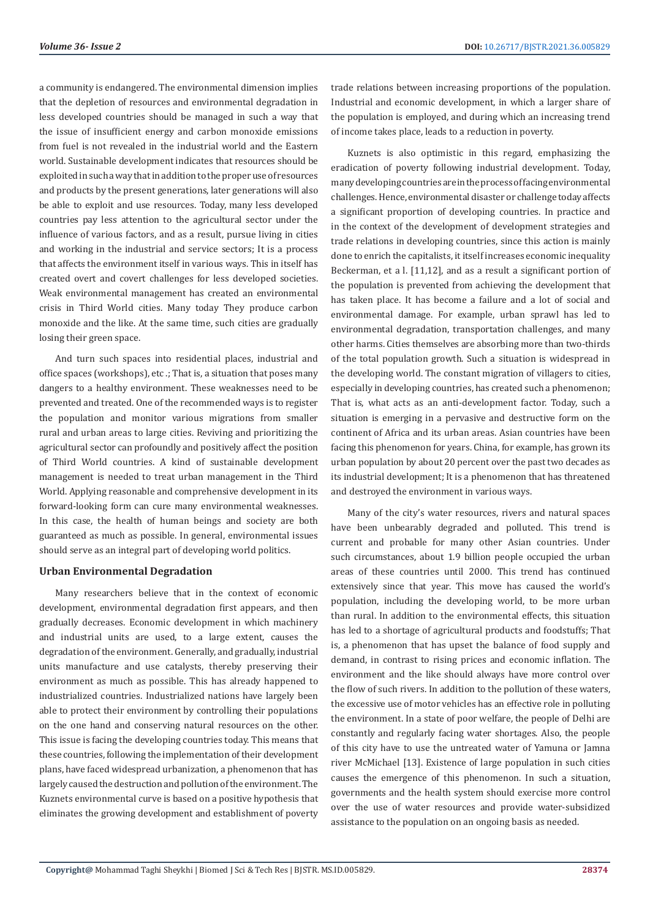a community is endangered. The environmental dimension implies that the depletion of resources and environmental degradation in less developed countries should be managed in such a way that the issue of insufficient energy and carbon monoxide emissions from fuel is not revealed in the industrial world and the Eastern world. Sustainable development indicates that resources should be exploited in such a way that in addition to the proper use of resources and products by the present generations, later generations will also be able to exploit and use resources. Today, many less developed countries pay less attention to the agricultural sector under the influence of various factors, and as a result, pursue living in cities and working in the industrial and service sectors; It is a process that affects the environment itself in various ways. This in itself has created overt and covert challenges for less developed societies. Weak environmental management has created an environmental crisis in Third World cities. Many today They produce carbon monoxide and the like. At the same time, such cities are gradually losing their green space.

And turn such spaces into residential places, industrial and office spaces (workshops), etc .; That is, a situation that poses many dangers to a healthy environment. These weaknesses need to be prevented and treated. One of the recommended ways is to register the population and monitor various migrations from smaller rural and urban areas to large cities. Reviving and prioritizing the agricultural sector can profoundly and positively affect the position of Third World countries. A kind of sustainable development management is needed to treat urban management in the Third World. Applying reasonable and comprehensive development in its forward-looking form can cure many environmental weaknesses. In this case, the health of human beings and society are both guaranteed as much as possible. In general, environmental issues should serve as an integral part of developing world politics.

#### **Urban Environmental Degradation**

Many researchers believe that in the context of economic development, environmental degradation first appears, and then gradually decreases. Economic development in which machinery and industrial units are used, to a large extent, causes the degradation of the environment. Generally, and gradually, industrial units manufacture and use catalysts, thereby preserving their environment as much as possible. This has already happened to industrialized countries. Industrialized nations have largely been able to protect their environment by controlling their populations on the one hand and conserving natural resources on the other. This issue is facing the developing countries today. This means that these countries, following the implementation of their development plans, have faced widespread urbanization, a phenomenon that has largely caused the destruction and pollution of the environment. The Kuznets environmental curve is based on a positive hypothesis that eliminates the growing development and establishment of poverty

trade relations between increasing proportions of the population. Industrial and economic development, in which a larger share of the population is employed, and during which an increasing trend of income takes place, leads to a reduction in poverty.

Kuznets is also optimistic in this regard, emphasizing the eradication of poverty following industrial development. Today, many developing countries are in the process of facing environmental challenges. Hence, environmental disaster or challenge today affects a significant proportion of developing countries. In practice and in the context of the development of development strategies and trade relations in developing countries, since this action is mainly done to enrich the capitalists, it itself increases economic inequality Beckerman, et a l. [11,12], and as a result a significant portion of the population is prevented from achieving the development that has taken place. It has become a failure and a lot of social and environmental damage. For example, urban sprawl has led to environmental degradation, transportation challenges, and many other harms. Cities themselves are absorbing more than two-thirds of the total population growth. Such a situation is widespread in the developing world. The constant migration of villagers to cities, especially in developing countries, has created such a phenomenon; That is, what acts as an anti-development factor. Today, such a situation is emerging in a pervasive and destructive form on the continent of Africa and its urban areas. Asian countries have been facing this phenomenon for years. China, for example, has grown its urban population by about 20 percent over the past two decades as its industrial development; It is a phenomenon that has threatened and destroyed the environment in various ways.

Many of the city's water resources, rivers and natural spaces have been unbearably degraded and polluted. This trend is current and probable for many other Asian countries. Under such circumstances, about 1.9 billion people occupied the urban areas of these countries until 2000. This trend has continued extensively since that year. This move has caused the world's population, including the developing world, to be more urban than rural. In addition to the environmental effects, this situation has led to a shortage of agricultural products and foodstuffs; That is, a phenomenon that has upset the balance of food supply and demand, in contrast to rising prices and economic inflation. The environment and the like should always have more control over the flow of such rivers. In addition to the pollution of these waters, the excessive use of motor vehicles has an effective role in polluting the environment. In a state of poor welfare, the people of Delhi are constantly and regularly facing water shortages. Also, the people of this city have to use the untreated water of Yamuna or Jamna river McMichael [13]. Existence of large population in such cities causes the emergence of this phenomenon. In such a situation, governments and the health system should exercise more control over the use of water resources and provide water-subsidized assistance to the population on an ongoing basis as needed.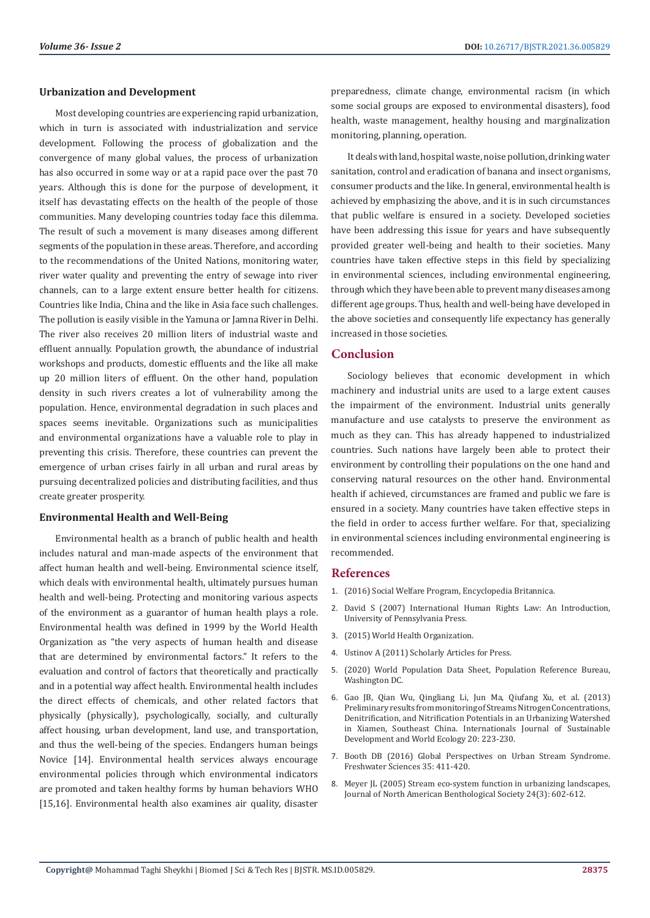#### **Urbanization and Development**

Most developing countries are experiencing rapid urbanization, which in turn is associated with industrialization and service development. Following the process of globalization and the convergence of many global values, the process of urbanization has also occurred in some way or at a rapid pace over the past 70 years. Although this is done for the purpose of development, it itself has devastating effects on the health of the people of those communities. Many developing countries today face this dilemma. The result of such a movement is many diseases among different segments of the population in these areas. Therefore, and according to the recommendations of the United Nations, monitoring water, river water quality and preventing the entry of sewage into river channels, can to a large extent ensure better health for citizens. Countries like India, China and the like in Asia face such challenges. The pollution is easily visible in the Yamuna or Jamna River in Delhi. The river also receives 20 million liters of industrial waste and effluent annually. Population growth, the abundance of industrial workshops and products, domestic effluents and the like all make up 20 million liters of effluent. On the other hand, population density in such rivers creates a lot of vulnerability among the population. Hence, environmental degradation in such places and spaces seems inevitable. Organizations such as municipalities and environmental organizations have a valuable role to play in preventing this crisis. Therefore, these countries can prevent the emergence of urban crises fairly in all urban and rural areas by pursuing decentralized policies and distributing facilities, and thus create greater prosperity.

#### **Environmental Health and Well-Being**

Environmental health as a branch of public health and health includes natural and man-made aspects of the environment that affect human health and well-being. Environmental science itself, which deals with environmental health, ultimately pursues human health and well-being. Protecting and monitoring various aspects of the environment as a guarantor of human health plays a role. Environmental health was defined in 1999 by the World Health Organization as "the very aspects of human health and disease that are determined by environmental factors." It refers to the evaluation and control of factors that theoretically and practically and in a potential way affect health. Environmental health includes the direct effects of chemicals, and other related factors that physically (physically), psychologically, socially, and culturally affect housing, urban development, land use, and transportation, and thus the well-being of the species. Endangers human beings Novice [14]. Environmental health services always encourage environmental policies through which environmental indicators are promoted and taken healthy forms by human behaviors WHO [15,16]. Environmental health also examines air quality, disaster

preparedness, climate change, environmental racism (in which some social groups are exposed to environmental disasters), food health, waste management, healthy housing and marginalization monitoring, planning, operation.

It deals with land, hospital waste, noise pollution, drinking water sanitation, control and eradication of banana and insect organisms, consumer products and the like. In general, environmental health is achieved by emphasizing the above, and it is in such circumstances that public welfare is ensured in a society. Developed societies have been addressing this issue for years and have subsequently provided greater well-being and health to their societies. Many countries have taken effective steps in this field by specializing in environmental sciences, including environmental engineering, through which they have been able to prevent many diseases among different age groups. Thus, health and well-being have developed in the above societies and consequently life expectancy has generally increased in those societies.

## **Conclusion**

Sociology believes that economic development in which machinery and industrial units are used to a large extent causes the impairment of the environment. Industrial units generally manufacture and use catalysts to preserve the environment as much as they can. This has already happened to industrialized countries. Such nations have largely been able to protect their environment by controlling their populations on the one hand and conserving natural resources on the other hand. Environmental health if achieved, circumstances are framed and public we fare is ensured in a society. Many countries have taken effective steps in the field in order to access further welfare. For that, specializing in environmental sciences including environmental engineering is recommended.

### **References**

- 1. (2016) Social Welfare Program, Encyclopedia Britannica.
- 2. [David S \(2007\) International Human Rights Law: An Introduction,](https://www.upenn.edu/pennpress/book/14397.html) [University of Pennsylvania Press.](https://www.upenn.edu/pennpress/book/14397.html)
- 3. (2015) World Health Organization.
- 4. Ustinov A (2011) Scholarly Articles for Press.
- 5. (2020) World Population Data Sheet, Population Reference Bureau, Washington DC.
- 6. [Gao JB, Qian Wu, Qingliang Li, Jun Ma, Qiufang Xu, et al. \(2013\)](https://www.tandfonline.com/doi/abs/10.1080/13504509.2013.782905?journalCode=tsdw20) [Preliminary results from monitoring of Streams Nitrogen Concentrations,](https://www.tandfonline.com/doi/abs/10.1080/13504509.2013.782905?journalCode=tsdw20) [Denitrification, and Nitrification Potentials in an Urbanizing Watershed](https://www.tandfonline.com/doi/abs/10.1080/13504509.2013.782905?journalCode=tsdw20) [in Xiamen, Southeast China. Internationals Journal of Sustainable](https://www.tandfonline.com/doi/abs/10.1080/13504509.2013.782905?journalCode=tsdw20) [Development and World Ecology 20: 223-230.](https://www.tandfonline.com/doi/abs/10.1080/13504509.2013.782905?journalCode=tsdw20)
- 7. Booth DB (2016) Global Perspectives on Urban Stream Syndrome. Freshwater Sciences 35: 411-420.
- 8. [Meyer JL \(2005\) Stream eco-system function in urbanizing landscapes,](https://www.jstor.org/stable/10.1899/04-021.1?seq=1) [Journal of North American Benthological Society 24\(3\): 602-612.](https://www.jstor.org/stable/10.1899/04-021.1?seq=1)